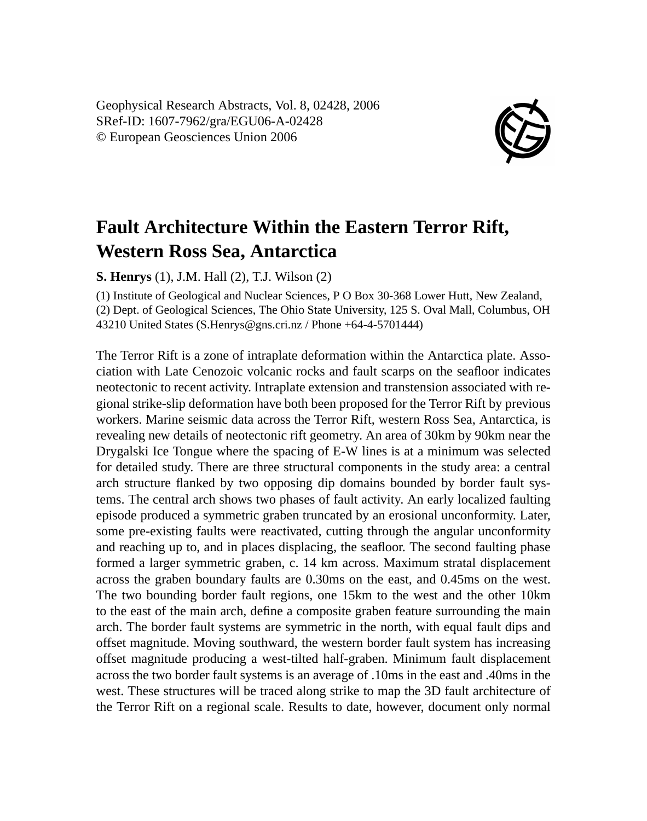Geophysical Research Abstracts, Vol. 8, 02428, 2006 SRef-ID: 1607-7962/gra/EGU06-A-02428 © European Geosciences Union 2006



## **Fault Architecture Within the Eastern Terror Rift, Western Ross Sea, Antarctica**

**S. Henrys** (1), J.M. Hall (2), T.J. Wilson (2)

(1) Institute of Geological and Nuclear Sciences, P O Box 30-368 Lower Hutt, New Zealand, (2) Dept. of Geological Sciences, The Ohio State University, 125 S. Oval Mall, Columbus, OH 43210 United States (S.Henrys@gns.cri.nz / Phone +64-4-5701444)

The Terror Rift is a zone of intraplate deformation within the Antarctica plate. Association with Late Cenozoic volcanic rocks and fault scarps on the seafloor indicates neotectonic to recent activity. Intraplate extension and transtension associated with regional strike-slip deformation have both been proposed for the Terror Rift by previous workers. Marine seismic data across the Terror Rift, western Ross Sea, Antarctica, is revealing new details of neotectonic rift geometry. An area of 30km by 90km near the Drygalski Ice Tongue where the spacing of E-W lines is at a minimum was selected for detailed study. There are three structural components in the study area: a central arch structure flanked by two opposing dip domains bounded by border fault systems. The central arch shows two phases of fault activity. An early localized faulting episode produced a symmetric graben truncated by an erosional unconformity. Later, some pre-existing faults were reactivated, cutting through the angular unconformity and reaching up to, and in places displacing, the seafloor. The second faulting phase formed a larger symmetric graben, c. 14 km across. Maximum stratal displacement across the graben boundary faults are 0.30ms on the east, and 0.45ms on the west. The two bounding border fault regions, one 15km to the west and the other 10km to the east of the main arch, define a composite graben feature surrounding the main arch. The border fault systems are symmetric in the north, with equal fault dips and offset magnitude. Moving southward, the western border fault system has increasing offset magnitude producing a west-tilted half-graben. Minimum fault displacement across the two border fault systems is an average of .10ms in the east and .40ms in the west. These structures will be traced along strike to map the 3D fault architecture of the Terror Rift on a regional scale. Results to date, however, document only normal